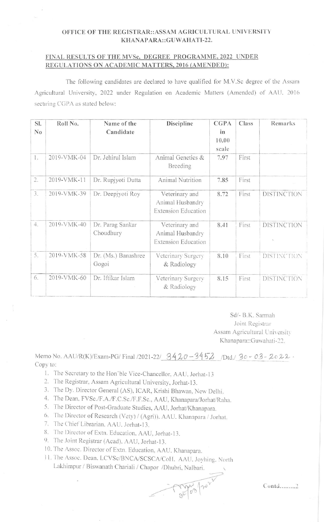## OFFICE OF THE REGISTRAR::ASSAM AGRICULTURAL UNIVERSITY KHANAPARA::GUWAHATI-22.

## FINAL RESULTS OF THE MVSc, DEGREE PROGRAMME, 2022 UNDER REGULATIONS ON ACADEMIC MATTERS, 2016 (AMENDED):

The following candidates are declared to have qualified for M.V.Sc degree of the Assam Agricultural University, 2022 under Regulation on Academic Matters (Amended) of AAU. 2016 securing CGPA as stated below:

| SI.<br>N <sub>0</sub> | Roll No.    | Name of the<br>Candidate      | Discipline                                                       | <b>CGPA</b><br>in<br>10.00<br>scale | Class | Remarks            |
|-----------------------|-------------|-------------------------------|------------------------------------------------------------------|-------------------------------------|-------|--------------------|
| 1.                    | 2019-VMK-04 | Dr. Jehirul Islam             | Animal Genetics &<br>Breeding                                    | 7.97                                | First |                    |
| 2.                    | 2019-VMK-11 | Dr. Rupjyoti Dutta            | Animal Nutrition                                                 | 7.85                                | First |                    |
| $\mathfrak{Z}.$       | 2019-VMK-39 | Dr. Deepiyoti Roy             | Veterinary and<br>Animal Husbandry<br><b>Extension Education</b> | 8.72                                | First | <b>DISTINCTION</b> |
| 4.                    | 2019-VMK-40 | Dr. Parag Sankar<br>Choudhury | Veterinary and<br>Animal Husbandry<br><b>Extension Education</b> | 8.41                                | First | <b>DISTINCTION</b> |
| 5.                    | 2019-VMK-58 | Dr. (Ms.) Banashree<br>Gogoi  | Veterinary Surgery<br>& Radiology                                | 8.10                                | First | DISTINCTION        |
| 6.                    | 2019-VMK-60 | Dr. Iftikar Islam             | Veterinary Surgery<br>& Radiology                                | 8.15                                | First | <b>DISTINCTION</b> |

Sd/- B.K. Sarmah Joint Registrar Assam Agricultural University Khanapara::Guwahati-22.

Memo No. AAU/R(K)/Exam-PG/ Final /2021-22/ 3420-3452 /Dtd./ 30-03-2022. Copy to:

gelook to the

- 1. The Secretary to the Hon'ble Vice-Chancellor, AAU, Jorhat-13
- 2. The Registrar, Assam Agricultural University, Jorhat-13.
- 3. The Dy. Director General (AS), ICAR, Krishi Bhawan, New Delhi.
- 4. The Dean, FVSc./F.A./F.C.Sc./F.F.Sc., AAU, Khanapara/Jorhat/Raha.
- 5. The Director of Post-Graduate Studies, AAU, Jorhat/Khanapara.
- 6. The Director of Research (Vety) / (Agri)). AAU. Khanapara / Jorhat.
- 7. The Chief Librarian, AAU, Jorhat-13.
- 8. The Director of Extn. Education, AAU, Jorhat-13.
- 9. The Joint Registrar (Acad), AAU, Jorhat-13.
- 10. The Assoc. Director of Extn. Education, AAU, Khanapara.
- 11. The Assoc. Dean. LCVSc/BNCA/SCSCA/CoH. AAU. Joyhing. North Lakhimpur / Biswanath Chariali / Chapor /Dhubri, Nalbari.

Contd........2